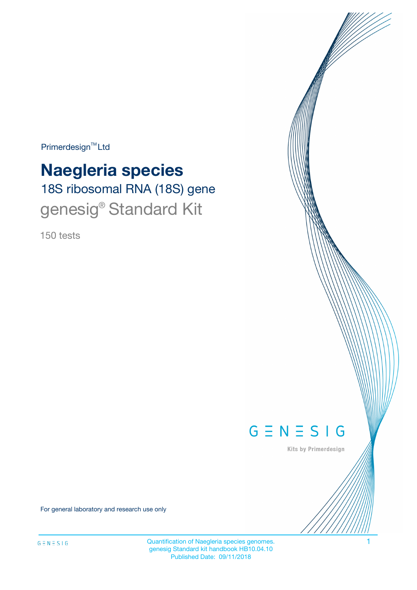Primerdesign<sup>™</sup>Ltd

# 18S ribosomal RNA (18S) gene **Naegleria species** genesig<sup>®</sup> Standard Kit

150 tests



Kits by Primerdesign

For general laboratory and research use only

Quantification of Naegleria species genomes. 1 genesig Standard kit handbook HB10.04.10 Published Date: 09/11/2018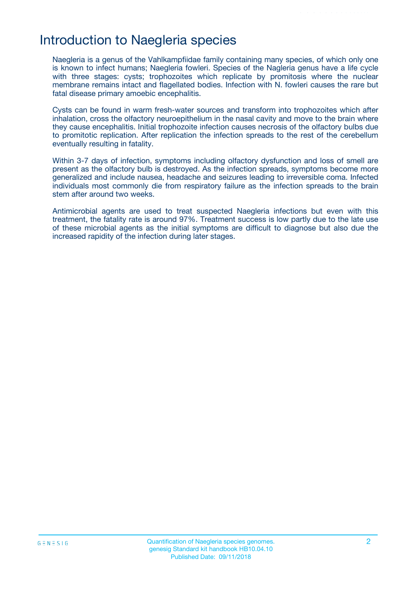# Introduction to Naegleria species

Naegleria is a genus of the Vahlkampfiidae family containing many species, of which only one is known to infect humans; Naegleria fowleri. Species of the Nagleria genus have a life cycle with three stages: cysts; trophozoites which replicate by promitosis where the nuclear membrane remains intact and flagellated bodies. Infection with N. fowleri causes the rare but fatal disease primary amoebic encephalitis.

Cysts can be found in warm fresh-water sources and transform into trophozoites which after inhalation, cross the olfactory neuroepithelium in the nasal cavity and move to the brain where they cause encephalitis. Initial trophozoite infection causes necrosis of the olfactory bulbs due to promitotic replication. After replication the infection spreads to the rest of the cerebellum eventually resulting in fatality.

Within 3-7 days of infection, symptoms including olfactory dysfunction and loss of smell are present as the olfactory bulb is destroyed. As the infection spreads, symptoms become more generalized and include nausea, headache and seizures leading to irreversible coma. Infected individuals most commonly die from respiratory failure as the infection spreads to the brain stem after around two weeks.

Antimicrobial agents are used to treat suspected Naegleria infections but even with this treatment, the fatality rate is around 97%. Treatment success is low partly due to the late use of these microbial agents as the initial symptoms are difficult to diagnose but also due the increased rapidity of the infection during later stages.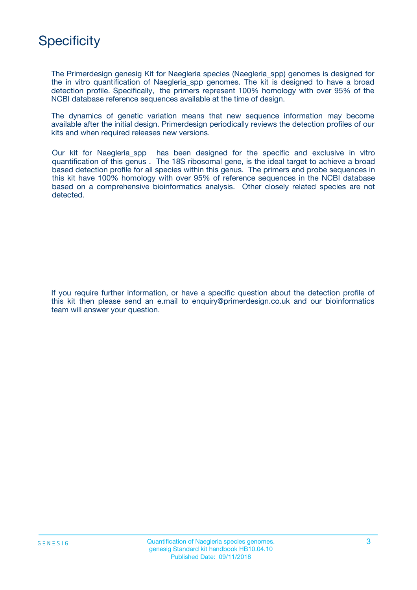

The Primerdesign genesig Kit for Naegleria species (Naegleria\_spp) genomes is designed for the in vitro quantification of Naegleria\_spp genomes. The kit is designed to have a broad detection profile. Specifically, the primers represent 100% homology with over 95% of the NCBI database reference sequences available at the time of design.

The dynamics of genetic variation means that new sequence information may become available after the initial design. Primerdesign periodically reviews the detection profiles of our kits and when required releases new versions.

Our kit for Naegleria\_spp has been designed for the specific and exclusive in vitro quantification of this genus . The 18S ribosomal gene, is the ideal target to achieve a broad based detection profile for all species within this genus. The primers and probe sequences in this kit have 100% homology with over 95% of reference sequences in the NCBI database based on a comprehensive bioinformatics analysis. Other closely related species are not detected.

If you require further information, or have a specific question about the detection profile of this kit then please send an e.mail to enquiry@primerdesign.co.uk and our bioinformatics team will answer your question.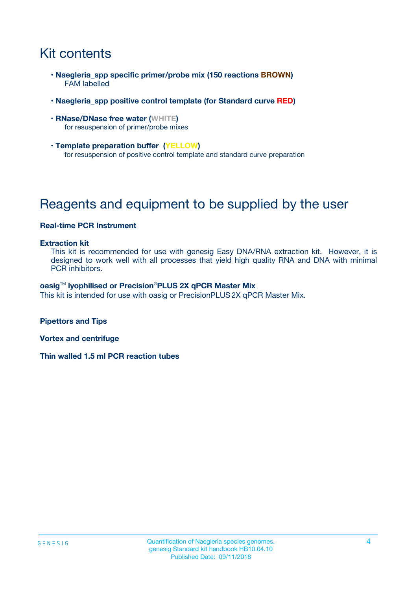# Kit contents

- **Naegleria\_spp specific primer/probe mix (150 reactions BROWN)** FAM labelled
- **Naegleria\_spp positive control template (for Standard curve RED)**
- **RNase/DNase free water (WHITE)** for resuspension of primer/probe mixes
- **Template preparation buffer (YELLOW)** for resuspension of positive control template and standard curve preparation

# Reagents and equipment to be supplied by the user

#### **Real-time PCR Instrument**

#### **Extraction kit**

This kit is recommended for use with genesig Easy DNA/RNA extraction kit. However, it is designed to work well with all processes that yield high quality RNA and DNA with minimal PCR inhibitors.

#### **oasig**TM **lyophilised or Precision**®**PLUS 2X qPCR Master Mix**

This kit is intended for use with oasig or PrecisionPLUS2X qPCR Master Mix.

**Pipettors and Tips**

**Vortex and centrifuge**

**Thin walled 1.5 ml PCR reaction tubes**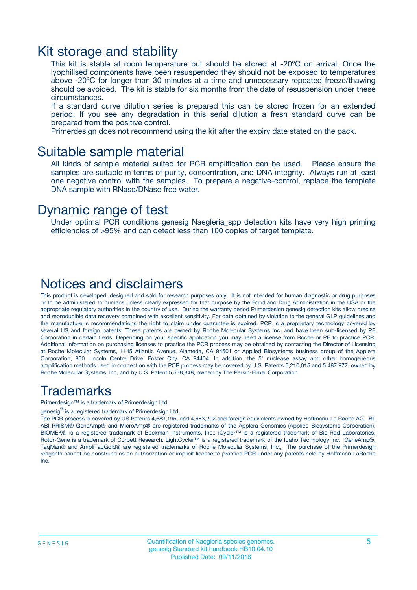### Kit storage and stability

This kit is stable at room temperature but should be stored at -20ºC on arrival. Once the lyophilised components have been resuspended they should not be exposed to temperatures above -20°C for longer than 30 minutes at a time and unnecessary repeated freeze/thawing should be avoided. The kit is stable for six months from the date of resuspension under these circumstances.

If a standard curve dilution series is prepared this can be stored frozen for an extended period. If you see any degradation in this serial dilution a fresh standard curve can be prepared from the positive control.

Primerdesign does not recommend using the kit after the expiry date stated on the pack.

### Suitable sample material

All kinds of sample material suited for PCR amplification can be used. Please ensure the samples are suitable in terms of purity, concentration, and DNA integrity. Always run at least one negative control with the samples. To prepare a negative-control, replace the template DNA sample with RNase/DNase free water.

### Dynamic range of test

Under optimal PCR conditions genesig Naegleria\_spp detection kits have very high priming efficiencies of >95% and can detect less than 100 copies of target template.

### Notices and disclaimers

This product is developed, designed and sold for research purposes only. It is not intended for human diagnostic or drug purposes or to be administered to humans unless clearly expressed for that purpose by the Food and Drug Administration in the USA or the appropriate regulatory authorities in the country of use. During the warranty period Primerdesign genesig detection kits allow precise and reproducible data recovery combined with excellent sensitivity. For data obtained by violation to the general GLP guidelines and the manufacturer's recommendations the right to claim under guarantee is expired. PCR is a proprietary technology covered by several US and foreign patents. These patents are owned by Roche Molecular Systems Inc. and have been sub-licensed by PE Corporation in certain fields. Depending on your specific application you may need a license from Roche or PE to practice PCR. Additional information on purchasing licenses to practice the PCR process may be obtained by contacting the Director of Licensing at Roche Molecular Systems, 1145 Atlantic Avenue, Alameda, CA 94501 or Applied Biosystems business group of the Applera Corporation, 850 Lincoln Centre Drive, Foster City, CA 94404. In addition, the 5' nuclease assay and other homogeneous amplification methods used in connection with the PCR process may be covered by U.S. Patents 5,210,015 and 5,487,972, owned by Roche Molecular Systems, Inc, and by U.S. Patent 5,538,848, owned by The Perkin-Elmer Corporation.

### Trademarks

Primerdesign™ is a trademark of Primerdesign Ltd.

genesig $^\circledR$  is a registered trademark of Primerdesign Ltd.

The PCR process is covered by US Patents 4,683,195, and 4,683,202 and foreign equivalents owned by Hoffmann-La Roche AG. BI, ABI PRISM® GeneAmp® and MicroAmp® are registered trademarks of the Applera Genomics (Applied Biosystems Corporation). BIOMEK® is a registered trademark of Beckman Instruments, Inc.; iCycler™ is a registered trademark of Bio-Rad Laboratories, Rotor-Gene is a trademark of Corbett Research. LightCycler™ is a registered trademark of the Idaho Technology Inc. GeneAmp®, TaqMan® and AmpliTaqGold® are registered trademarks of Roche Molecular Systems, Inc., The purchase of the Primerdesign reagents cannot be construed as an authorization or implicit license to practice PCR under any patents held by Hoffmann-LaRoche Inc.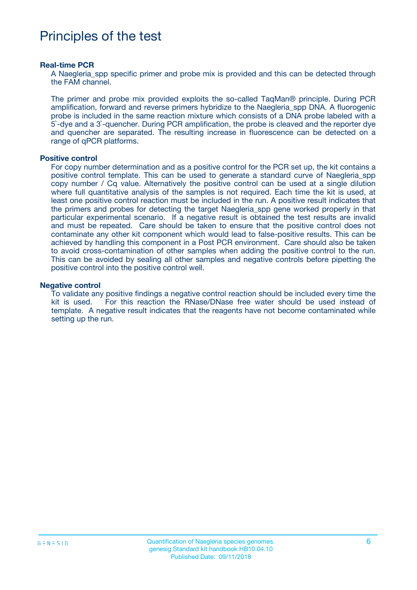# Principles of the test

#### **Real-time PCR**

A Naegleria spp specific primer and probe mix is provided and this can be detected through the FAM channel.

The primer and probe mix provided exploits the so-called TaqMan® principle. During PCR amplification, forward and reverse primers hybridize to the Naegleria\_spp DNA. A fluorogenic probe is included in the same reaction mixture which consists of a DNA probe labeled with a 5`-dye and a 3`-quencher. During PCR amplification, the probe is cleaved and the reporter dye and quencher are separated. The resulting increase in fluorescence can be detected on a range of qPCR platforms.

#### **Positive control**

For copy number determination and as a positive control for the PCR set up, the kit contains a positive control template. This can be used to generate a standard curve of Naegleria\_spp copy number / Cq value. Alternatively the positive control can be used at a single dilution where full quantitative analysis of the samples is not required. Each time the kit is used, at least one positive control reaction must be included in the run. A positive result indicates that the primers and probes for detecting the target Naegleria\_spp gene worked properly in that particular experimental scenario. If a negative result is obtained the test results are invalid and must be repeated. Care should be taken to ensure that the positive control does not contaminate any other kit component which would lead to false-positive results. This can be achieved by handling this component in a Post PCR environment. Care should also be taken to avoid cross-contamination of other samples when adding the positive control to the run. This can be avoided by sealing all other samples and negative controls before pipetting the positive control into the positive control well.

#### **Negative control**

To validate any positive findings a negative control reaction should be included every time the kit is used. For this reaction the RNase/DNase free water should be used instead of template. A negative result indicates that the reagents have not become contaminated while setting up the run.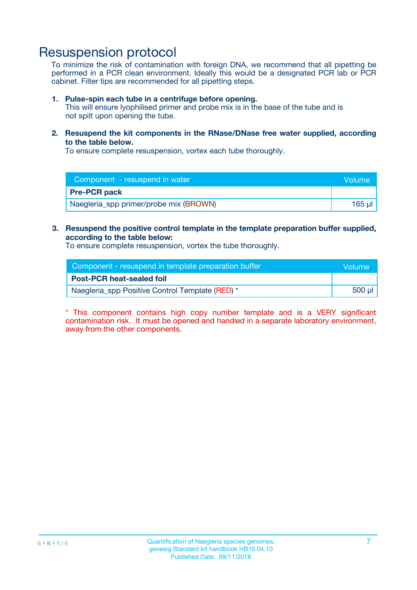### Resuspension protocol

To minimize the risk of contamination with foreign DNA, we recommend that all pipetting be performed in a PCR clean environment. Ideally this would be a designated PCR lab or PCR cabinet. Filter tips are recommended for all pipetting steps.

#### **1. Pulse-spin each tube in a centrifuge before opening.**

This will ensure lyophilised primer and probe mix is in the base of the tube and is not spilt upon opening the tube.

**2. Resuspend the kit components in the RNase/DNase free water supplied, according to the table below.**

To ensure complete resuspension, vortex each tube thoroughly.

| Component - resuspend in water         | Volume |
|----------------------------------------|--------|
| <b>Pre-PCR pack</b>                    |        |
| Naegleria_spp primer/probe mix (BROWN) | 165 ul |

### **3. Resuspend the positive control template in the template preparation buffer supplied, according to the table below:**

To ensure complete resuspension, vortex the tube thoroughly.

| Component - resuspend in template preparation buffer | Wolume!     |
|------------------------------------------------------|-------------|
| <b>Post-PCR heat-sealed foil</b>                     |             |
| Naegleria_spp Positive Control Template (RED) *      | $500$ $\mu$ |

\* This component contains high copy number template and is a VERY significant contamination risk. It must be opened and handled in a separate laboratory environment, away from the other components.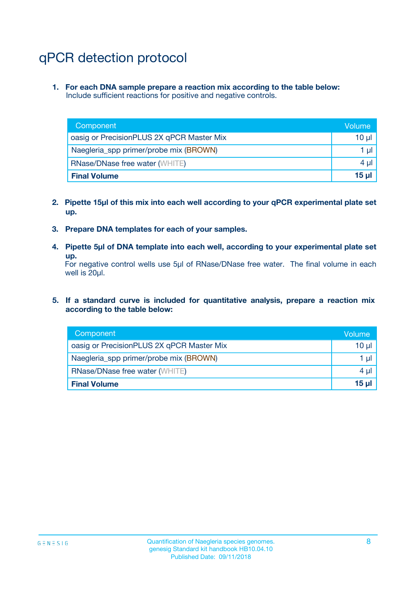# qPCR detection protocol

**1. For each DNA sample prepare a reaction mix according to the table below:** Include sufficient reactions for positive and negative controls.

| Component                                 | Volume   |
|-------------------------------------------|----------|
| oasig or PrecisionPLUS 2X qPCR Master Mix | $10 \mu$ |
| Naegleria_spp primer/probe mix (BROWN)    | 1 µl     |
| <b>RNase/DNase free water (WHITE)</b>     | $4 \mu$  |
| <b>Final Volume</b>                       | 15 ul    |

- **2. Pipette 15µl of this mix into each well according to your qPCR experimental plate set up.**
- **3. Prepare DNA templates for each of your samples.**
- **4. Pipette 5µl of DNA template into each well, according to your experimental plate set up.**

For negative control wells use 5µl of RNase/DNase free water. The final volume in each well is 20µl.

**5. If a standard curve is included for quantitative analysis, prepare a reaction mix according to the table below:**

| Component                                 | Volume     |
|-------------------------------------------|------------|
| oasig or PrecisionPLUS 2X qPCR Master Mix | 10 µl      |
| Naegleria_spp primer/probe mix (BROWN)    | 1 µI       |
| <b>RNase/DNase free water (WHITE)</b>     | $4 \mu$    |
| <b>Final Volume</b>                       | $15$ $\mu$ |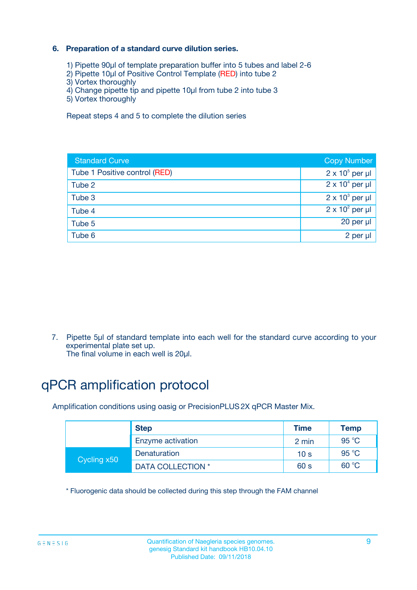### **6. Preparation of a standard curve dilution series.**

- 1) Pipette 90µl of template preparation buffer into 5 tubes and label 2-6
- 2) Pipette 10µl of Positive Control Template (RED) into tube 2
- 3) Vortex thoroughly
- 4) Change pipette tip and pipette 10µl from tube 2 into tube 3
- 5) Vortex thoroughly

Repeat steps 4 and 5 to complete the dilution series

| <b>Standard Curve</b>         | <b>Copy Number</b>     |
|-------------------------------|------------------------|
| Tube 1 Positive control (RED) | $2 \times 10^5$ per µl |
| Tube 2                        | $2 \times 10^4$ per µl |
| Tube 3                        | $2 \times 10^3$ per µl |
| Tube 4                        | $2 \times 10^2$ per µl |
| Tube 5                        | 20 per µl              |
| Tube 6                        | 2 per ul               |

7. Pipette 5µl of standard template into each well for the standard curve according to your experimental plate set up.

The final volume in each well is 20µl.

# qPCR amplification protocol

Amplification conditions using oasig or PrecisionPLUS2X qPCR Master Mix.

| <b>Step</b> |                   | <b>Time</b>     | Temp    |
|-------------|-------------------|-----------------|---------|
|             | Enzyme activation | 2 min           | 95 °C   |
| Cycling x50 | Denaturation      | 10 <sub>s</sub> | 95 $°C$ |
|             | DATA COLLECTION * | 60 s            | 60 °C   |

\* Fluorogenic data should be collected during this step through the FAM channel